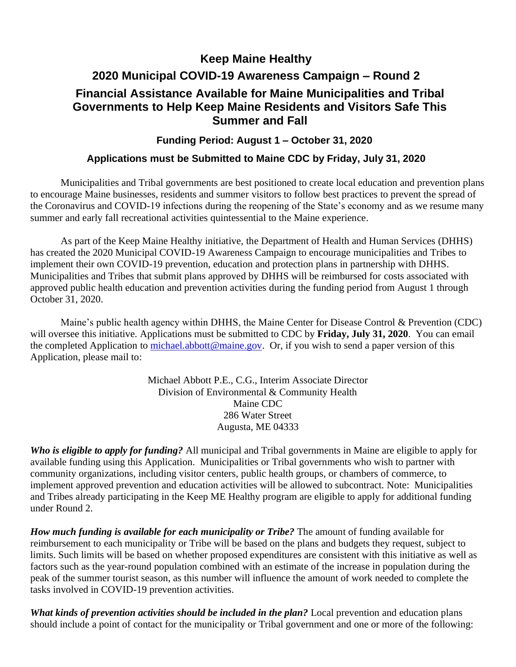### **Keep Maine Healthy**

# **2020 Municipal COVID-19 Awareness Campaign – Round 2 Financial Assistance Available for Maine Municipalities and Tribal Governments to Help Keep Maine Residents and Visitors Safe This Summer and Fall**

### **Funding Period: August 1 – October 31, 2020**

### **Applications must be Submitted to Maine CDC by Friday, July 31, 2020**

Municipalities and Tribal governments are best positioned to create local education and prevention plans to encourage Maine businesses, residents and summer visitors to follow best practices to prevent the spread of the Coronavirus and COVID-19 infections during the reopening of the State's economy and as we resume many summer and early fall recreational activities quintessential to the Maine experience.

As part of the Keep Maine Healthy initiative, the Department of Health and Human Services (DHHS) has created the 2020 Municipal COVID-19 Awareness Campaign to encourage municipalities and Tribes to implement their own COVID-19 prevention, education and protection plans in partnership with DHHS. Municipalities and Tribes that submit plans approved by DHHS will be reimbursed for costs associated with approved public health education and prevention activities during the funding period from August 1 through October 31, 2020.

Maine's public health agency within DHHS, the Maine Center for Disease Control & Prevention (CDC) will oversee this initiative. Applications must be submitted to CDC by **Friday, July 31, 2020**. You can email the completed Application to [michael.abbott@maine.gov.](mailto:michael.abbott@maine.gov) Or, if you wish to send a paper version of this Application, please mail to:

> Michael Abbott P.E., C.G., Interim Associate Director Division of Environmental & Community Health Maine CDC 286 Water Street Augusta, ME 04333

*Who is eligible to apply for funding?* All municipal and Tribal governments in Maine are eligible to apply for available funding using this Application. Municipalities or Tribal governments who wish to partner with community organizations, including visitor centers, public health groups, or chambers of commerce, to implement approved prevention and education activities will be allowed to subcontract. Note: Municipalities and Tribes already participating in the Keep ME Healthy program are eligible to apply for additional funding under Round 2.

*How much funding is available for each municipality or Tribe?* The amount of funding available for reimbursement to each municipality or Tribe will be based on the plans and budgets they request, subject to limits. Such limits will be based on whether proposed expenditures are consistent with this initiative as well as factors such as the year-round population combined with an estimate of the increase in population during the peak of the summer tourist season, as this number will influence the amount of work needed to complete the tasks involved in COVID-19 prevention activities.

*What kinds of prevention activities should be included in the plan?* Local prevention and education plans should include a point of contact for the municipality or Tribal government and one or more of the following: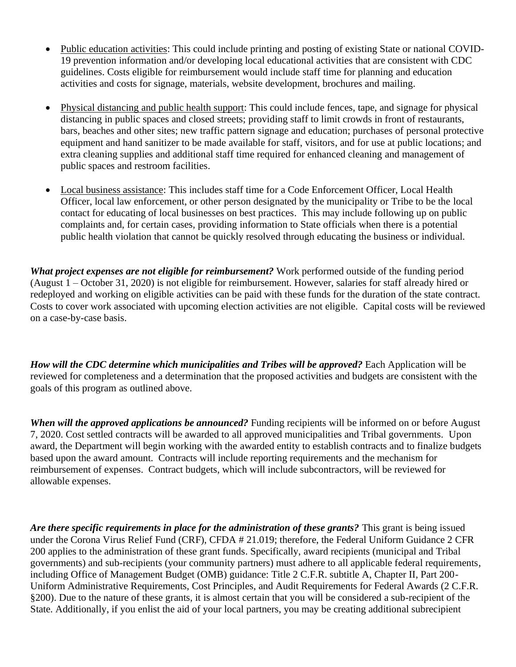- Public education activities: This could include printing and posting of existing State or national COVID-19 prevention information and/or developing local educational activities that are consistent with CDC guidelines. Costs eligible for reimbursement would include staff time for planning and education activities and costs for signage, materials, website development, brochures and mailing.
- Physical distancing and public health support: This could include fences, tape, and signage for physical distancing in public spaces and closed streets; providing staff to limit crowds in front of restaurants, bars, beaches and other sites; new traffic pattern signage and education; purchases of personal protective equipment and hand sanitizer to be made available for staff, visitors, and for use at public locations; and extra cleaning supplies and additional staff time required for enhanced cleaning and management of public spaces and restroom facilities.
- Local business assistance: This includes staff time for a Code Enforcement Officer, Local Health Officer, local law enforcement, or other person designated by the municipality or Tribe to be the local contact for educating of local businesses on best practices. This may include following up on public complaints and, for certain cases, providing information to State officials when there is a potential public health violation that cannot be quickly resolved through educating the business or individual.

*What project expenses are not eligible for reimbursement?* Work performed outside of the funding period (August 1 – October 31, 2020) is not eligible for reimbursement. However, salaries for staff already hired or redeployed and working on eligible activities can be paid with these funds for the duration of the state contract. Costs to cover work associated with upcoming election activities are not eligible. Capital costs will be reviewed on a case-by-case basis.

*How will the CDC determine which municipalities and Tribes will be approved?* Each Application will be reviewed for completeness and a determination that the proposed activities and budgets are consistent with the goals of this program as outlined above.

*When will the approved applications be announced?* Funding recipients will be informed on or before August 7, 2020. Cost settled contracts will be awarded to all approved municipalities and Tribal governments. Upon award, the Department will begin working with the awarded entity to establish contracts and to finalize budgets based upon the award amount. Contracts will include reporting requirements and the mechanism for reimbursement of expenses. Contract budgets, which will include subcontractors, will be reviewed for allowable expenses.

*Are there specific requirements in place for the administration of these grants?* This grant is being issued under the Corona Virus Relief Fund (CRF), CFDA # 21.019; therefore, the Federal Uniform Guidance 2 CFR 200 applies to the administration of these grant funds. Specifically, award recipients (municipal and Tribal governments) and sub-recipients (your community partners) must adhere to all applicable federal requirements, including Office of Management Budget (OMB) guidance: Title 2 C.F.R. subtitle A, Chapter II, Part 200- Uniform Administrative Requirements, Cost Principles, and Audit Requirements for Federal Awards (2 C.F.R. §200). Due to the nature of these grants, it is almost certain that you will be considered a sub-recipient of the State. Additionally, if you enlist the aid of your local partners, you may be creating additional subrecipient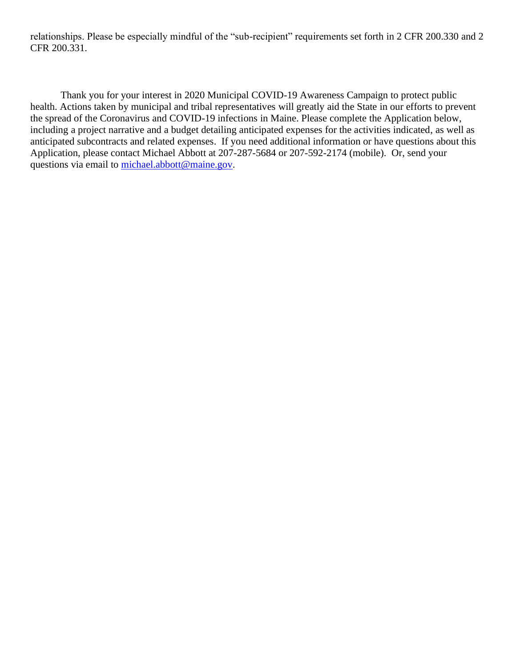relationships. Please be especially mindful of the "sub-recipient" requirements set forth in 2 CFR 200.330 and 2 CFR 200.331.

Thank you for your interest in 2020 Municipal COVID-19 Awareness Campaign to protect public health. Actions taken by municipal and tribal representatives will greatly aid the State in our efforts to prevent the spread of the Coronavirus and COVID-19 infections in Maine. Please complete the Application below, including a project narrative and a budget detailing anticipated expenses for the activities indicated, as well as anticipated subcontracts and related expenses. If you need additional information or have questions about this Application, please contact Michael Abbott at 207-287-5684 or 207-592-2174 (mobile). Or, send your questions via email to [michael.abbott@maine.gov.](mailto:michael.abbott@maine.gov)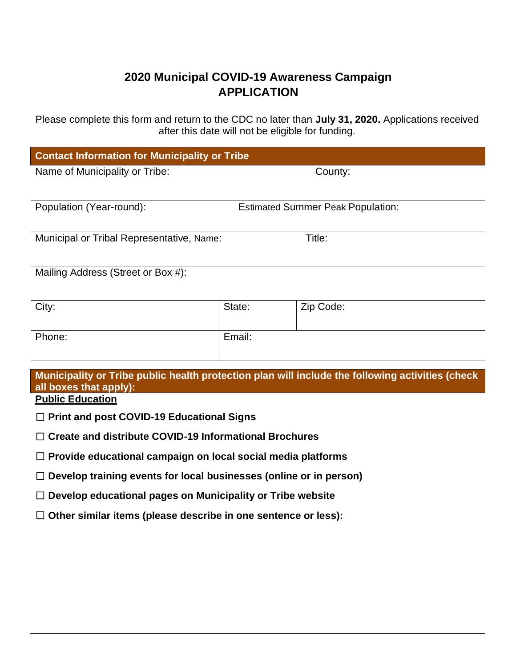## **2020 Municipal COVID-19 Awareness Campaign APPLICATION**

Please complete this form and return to the CDC no later than **July 31, 2020.** Applications received after this date will not be eligible for funding.

| <b>Contact Information for Municipality or Tribe</b>                                                                       |        |           |
|----------------------------------------------------------------------------------------------------------------------------|--------|-----------|
| Name of Municipality or Tribe:                                                                                             |        | County:   |
| Population (Year-round):<br><b>Estimated Summer Peak Population:</b>                                                       |        |           |
|                                                                                                                            |        |           |
| Title:<br>Municipal or Tribal Representative, Name:                                                                        |        |           |
| Mailing Address (Street or Box #):                                                                                         |        |           |
| City:                                                                                                                      | State: | Zip Code: |
| Phone:                                                                                                                     | Email: |           |
| Municipality or Tribe public health protection plan will include the following activities (check<br>all boxes that apply): |        |           |
| <b>Public Education</b>                                                                                                    |        |           |
| $\Box$ Print and post COVID-19 Educational Signs                                                                           |        |           |
| $\Box$ Create and distribute COVID-19 Informational Brochures                                                              |        |           |
| $\Box$ David de la dissettació la consection por le cel le catallo de distrito del                                         |        |           |

☐ **Provide educational campaign on local social media platforms**

☐ **Develop training events for local businesses (online or in person)**

☐ **Develop educational pages on Municipality or Tribe website**

☐ **Other similar items (please describe in one sentence or less):**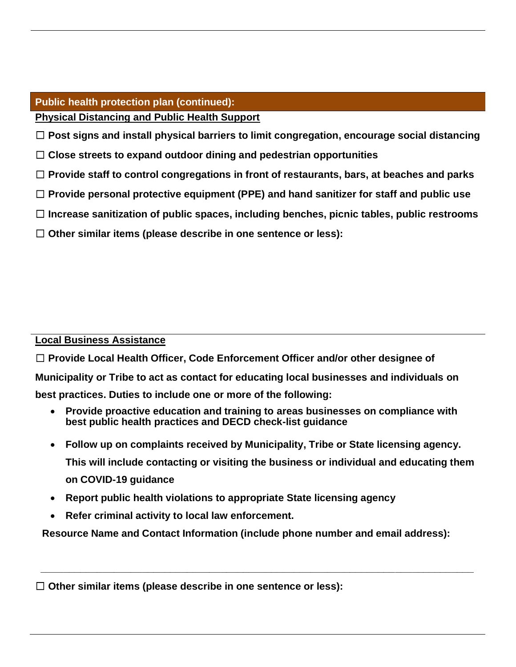### **Public health protection plan (continued): Physical Distancing and Public Health Support**

☐ **Post signs and install physical barriers to limit congregation, encourage social distancing**

- ☐ **Close streets to expand outdoor dining and pedestrian opportunities**
- ☐ **Provide staff to control congregations in front of restaurants, bars, at beaches and parks**
- ☐ **Provide personal protective equipment (PPE) and hand sanitizer for staff and public use**
- ☐ **Increase sanitization of public spaces, including benches, picnic tables, public restrooms**
- ☐ **Other similar items (please describe in one sentence or less):**

### **Local Business Assistance**

☐ **Provide Local Health Officer, Code Enforcement Officer and/or other designee of Municipality or Tribe to act as contact for educating local businesses and individuals on best practices. Duties to include one or more of the following:**

- **Provide proactive education and training to areas businesses on compliance with best public health practices and DECD check-list guidance**
- **Follow up on complaints received by Municipality, Tribe or State licensing agency. This will include contacting or visiting the business or individual and educating them on COVID-19 guidance**
- **Report public health violations to appropriate State licensing agency**
- **Refer criminal activity to local law enforcement.**

**Resource Name and Contact Information (include phone number and email address):**

 **\_\_\_\_\_\_\_\_\_\_\_\_\_\_\_\_\_\_\_\_\_\_\_\_\_\_\_\_\_\_\_\_\_\_\_\_\_\_\_\_\_\_\_\_\_\_\_\_\_\_\_\_\_\_\_\_\_\_\_\_\_\_\_\_\_\_\_\_\_\_\_\_\_\_\_\_\_**

☐ **Other similar items (please describe in one sentence or less):**